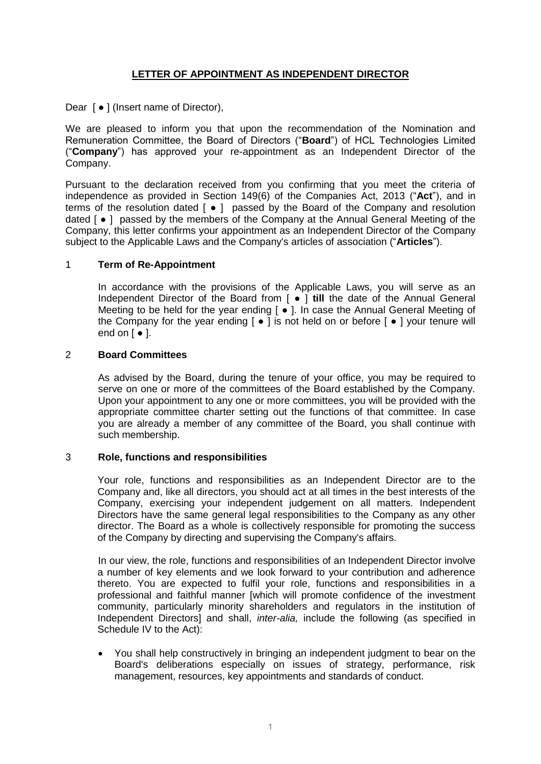# **LETTER OF APPOINTMENT AS INDEPENDENT DIRECTOR**

Dear [  $\bullet$  ] (Insert name of Director),

We are pleased to inform you that upon the recommendation of the Nomination and Remuneration Committee, the Board of Directors ("**Board**") of HCL Technologies Limited ("**Company**") has approved your re-appointment as an Independent Director of the Company.

Pursuant to the declaration received from you confirming that you meet the criteria of independence as provided in Section 149(6) of the Companies Act, 2013 ("**Act**"), and in terms of the resolution dated [ ● ] passed by the Board of the Company and resolution dated  $[ ◦]$  passed by the members of the Company at the Annual General Meeting of the Company, this letter confirms your appointment as an Independent Director of the Company subject to the Applicable Laws and the Company's articles of association ("**Articles**").

## 1 **Term of Re-Appointment**

In accordance with the provisions of the Applicable Laws, you will serve as an Independent Director of the Board from [ ● ] **till** the date of the Annual General Meeting to be held for the year ending [ ● ]. In case the Annual General Meeting of the Company for the year ending  $\lceil \bullet \rceil$  is not held on or before  $\lceil \bullet \rceil$  your tenure will end on  $\left[ \cdot \right]$ .

## 2 **Board Committees**

As advised by the Board, during the tenure of your office, you may be required to serve on one or more of the committees of the Board established by the Company. Upon your appointment to any one or more committees, you will be provided with the appropriate committee charter setting out the functions of that committee. In case you are already a member of any committee of the Board, you shall continue with such membership.

#### 3 **Role, functions and responsibilities**

Your role, functions and responsibilities as an Independent Director are to the Company and, like all directors, you should act at all times in the best interests of the Company, exercising your independent judgement on all matters. Independent Directors have the same general legal responsibilities to the Company as any other director. The Board as a whole is collectively responsible for promoting the success of the Company by directing and supervising the Company's affairs.

In our view, the role, functions and responsibilities of an Independent Director involve a number of key elements and we look forward to your contribution and adherence thereto. You are expected to fulfil your role, functions and responsibilities in a professional and faithful manner [which will promote confidence of the investment community, particularly minority shareholders and regulators in the institution of Independent Directors] and shall, *inter-alia,* include the following (as specified in Schedule IV to the Act):

 You shall help constructively in bringing an independent judgment to bear on the Board's deliberations especially on issues of strategy, performance, risk management, resources, key appointments and standards of conduct.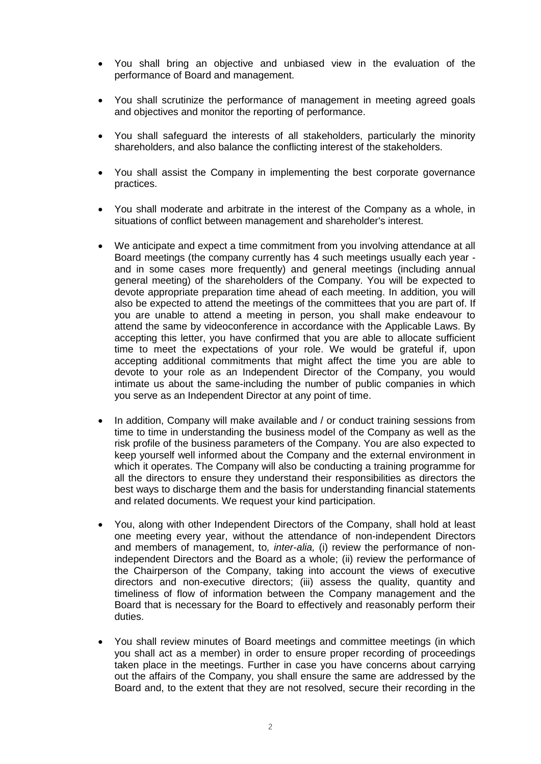- You shall bring an objective and unbiased view in the evaluation of the performance of Board and management.
- You shall scrutinize the performance of management in meeting agreed goals and objectives and monitor the reporting of performance.
- You shall safeguard the interests of all stakeholders, particularly the minority shareholders, and also balance the conflicting interest of the stakeholders.
- You shall assist the Company in implementing the best corporate governance practices.
- You shall moderate and arbitrate in the interest of the Company as a whole, in situations of conflict between management and shareholder's interest.
- We anticipate and expect a time commitment from you involving attendance at all Board meetings (the company currently has 4 such meetings usually each year and in some cases more frequently) and general meetings (including annual general meeting) of the shareholders of the Company. You will be expected to devote appropriate preparation time ahead of each meeting. In addition, you will also be expected to attend the meetings of the committees that you are part of. If you are unable to attend a meeting in person, you shall make endeavour to attend the same by videoconference in accordance with the Applicable Laws. By accepting this letter, you have confirmed that you are able to allocate sufficient time to meet the expectations of your role. We would be grateful if, upon accepting additional commitments that might affect the time you are able to devote to your role as an Independent Director of the Company, you would intimate us about the same-including the number of public companies in which you serve as an Independent Director at any point of time.
- In addition, Company will make available and / or conduct training sessions from time to time in understanding the business model of the Company as well as the risk profile of the business parameters of the Company. You are also expected to keep yourself well informed about the Company and the external environment in which it operates. The Company will also be conducting a training programme for all the directors to ensure they understand their responsibilities as directors the best ways to discharge them and the basis for understanding financial statements and related documents. We request your kind participation.
- You, along with other Independent Directors of the Company, shall hold at least one meeting every year, without the attendance of non-independent Directors and members of management, to*, inter-alia,* (i) review the performance of nonindependent Directors and the Board as a whole; (ii) review the performance of the Chairperson of the Company, taking into account the views of executive directors and non-executive directors; (iii) assess the quality, quantity and timeliness of flow of information between the Company management and the Board that is necessary for the Board to effectively and reasonably perform their duties.
- You shall review minutes of Board meetings and committee meetings (in which you shall act as a member) in order to ensure proper recording of proceedings taken place in the meetings. Further in case you have concerns about carrying out the affairs of the Company, you shall ensure the same are addressed by the Board and, to the extent that they are not resolved, secure their recording in the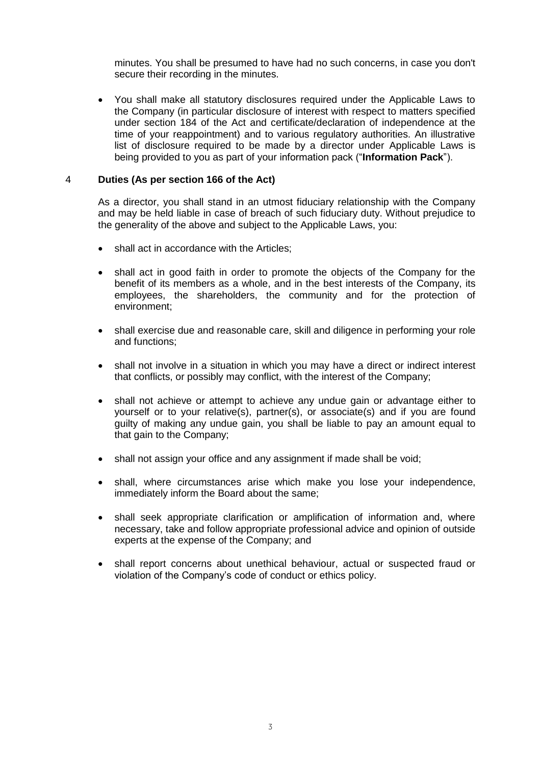minutes. You shall be presumed to have had no such concerns, in case you don't secure their recording in the minutes.

 You shall make all statutory disclosures required under the Applicable Laws to the Company (in particular disclosure of interest with respect to matters specified under section 184 of the Act and certificate/declaration of independence at the time of your reappointment) and to various regulatory authorities. An illustrative list of disclosure required to be made by a director under Applicable Laws is being provided to you as part of your information pack ("**Information Pack**").

### 4 **Duties (As per section 166 of the Act)**

As a director, you shall stand in an utmost fiduciary relationship with the Company and may be held liable in case of breach of such fiduciary duty. Without prejudice to the generality of the above and subject to the Applicable Laws, you:

- shall act in accordance with the Articles;
- shall act in good faith in order to promote the objects of the Company for the benefit of its members as a whole, and in the best interests of the Company, its employees, the shareholders, the community and for the protection of environment;
- shall exercise due and reasonable care, skill and diligence in performing your role and functions;
- shall not involve in a situation in which you may have a direct or indirect interest that conflicts, or possibly may conflict, with the interest of the Company;
- shall not achieve or attempt to achieve any undue gain or advantage either to yourself or to your relative(s), partner(s), or associate(s) and if you are found guilty of making any undue gain, you shall be liable to pay an amount equal to that gain to the Company;
- shall not assign your office and any assignment if made shall be void;
- shall, where circumstances arise which make you lose your independence, immediately inform the Board about the same;
- shall seek appropriate clarification or amplification of information and, where necessary, take and follow appropriate professional advice and opinion of outside experts at the expense of the Company; and
- shall report concerns about unethical behaviour, actual or suspected fraud or violation of the Company's code of conduct or ethics policy.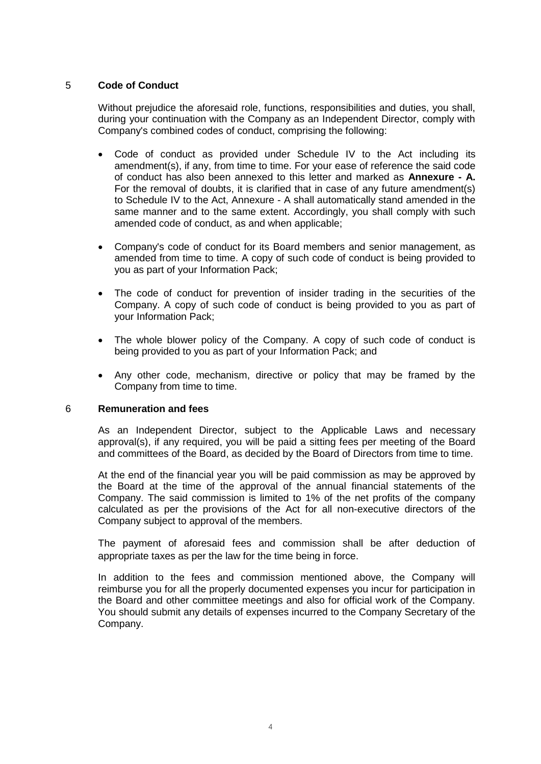## 5 **Code of Conduct**

Without prejudice the aforesaid role, functions, responsibilities and duties, you shall, during your continuation with the Company as an Independent Director, comply with Company's combined codes of conduct, comprising the following:

- Code of conduct as provided under Schedule IV to the Act including its amendment(s), if any, from time to time. For your ease of reference the said code of conduct has also been annexed to this letter and marked as **Annexure - A.** For the removal of doubts, it is clarified that in case of any future amendment(s) to Schedule IV to the Act, Annexure - A shall automatically stand amended in the same manner and to the same extent. Accordingly, you shall comply with such amended code of conduct, as and when applicable;
- Company's code of conduct for its Board members and senior management, as amended from time to time. A copy of such code of conduct is being provided to you as part of your Information Pack;
- The code of conduct for prevention of insider trading in the securities of the Company. A copy of such code of conduct is being provided to you as part of your Information Pack;
- The whole blower policy of the Company. A copy of such code of conduct is being provided to you as part of your Information Pack; and
- Any other code, mechanism, directive or policy that may be framed by the Company from time to time.

#### 6 **Remuneration and fees**

As an Independent Director, subject to the Applicable Laws and necessary approval(s), if any required, you will be paid a sitting fees per meeting of the Board and committees of the Board, as decided by the Board of Directors from time to time.

At the end of the financial year you will be paid commission as may be approved by the Board at the time of the approval of the annual financial statements of the Company. The said commission is limited to 1% of the net profits of the company calculated as per the provisions of the Act for all non-executive directors of the Company subject to approval of the members.

The payment of aforesaid fees and commission shall be after deduction of appropriate taxes as per the law for the time being in force.

In addition to the fees and commission mentioned above, the Company will reimburse you for all the properly documented expenses you incur for participation in the Board and other committee meetings and also for official work of the Company. You should submit any details of expenses incurred to the Company Secretary of the Company.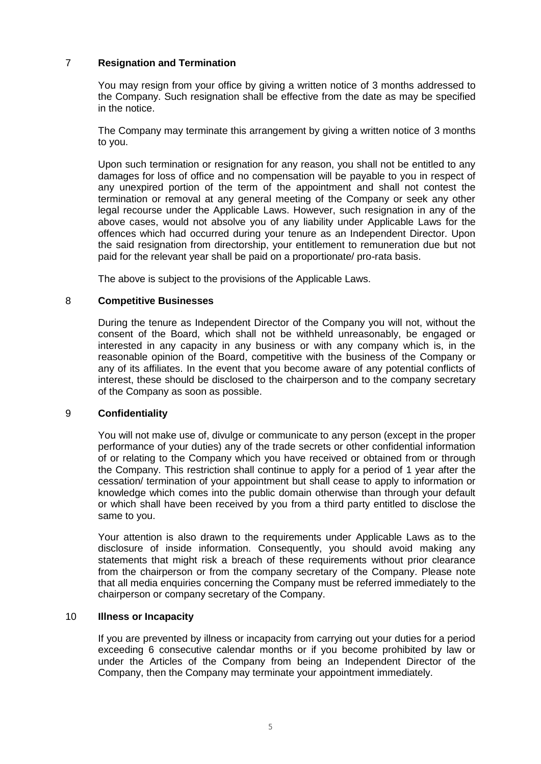# 7 **Resignation and Termination**

You may resign from your office by giving a written notice of 3 months addressed to the Company. Such resignation shall be effective from the date as may be specified in the notice.

The Company may terminate this arrangement by giving a written notice of 3 months to you.

Upon such termination or resignation for any reason, you shall not be entitled to any damages for loss of office and no compensation will be payable to you in respect of any unexpired portion of the term of the appointment and shall not contest the termination or removal at any general meeting of the Company or seek any other legal recourse under the Applicable Laws. However, such resignation in any of the above cases, would not absolve you of any liability under Applicable Laws for the offences which had occurred during your tenure as an Independent Director. Upon the said resignation from directorship, your entitlement to remuneration due but not paid for the relevant year shall be paid on a proportionate/ pro-rata basis.

The above is subject to the provisions of the Applicable Laws.

### 8 **Competitive Businesses**

During the tenure as Independent Director of the Company you will not, without the consent of the Board, which shall not be withheld unreasonably, be engaged or interested in any capacity in any business or with any company which is, in the reasonable opinion of the Board, competitive with the business of the Company or any of its affiliates. In the event that you become aware of any potential conflicts of interest, these should be disclosed to the chairperson and to the company secretary of the Company as soon as possible.

## 9 **Confidentiality**

You will not make use of, divulge or communicate to any person (except in the proper performance of your duties) any of the trade secrets or other confidential information of or relating to the Company which you have received or obtained from or through the Company. This restriction shall continue to apply for a period of 1 year after the cessation/ termination of your appointment but shall cease to apply to information or knowledge which comes into the public domain otherwise than through your default or which shall have been received by you from a third party entitled to disclose the same to you.

Your attention is also drawn to the requirements under Applicable Laws as to the disclosure of inside information. Consequently, you should avoid making any statements that might risk a breach of these requirements without prior clearance from the chairperson or from the company secretary of the Company. Please note that all media enquiries concerning the Company must be referred immediately to the chairperson or company secretary of the Company.

### 10 **Illness or Incapacity**

If you are prevented by illness or incapacity from carrying out your duties for a period exceeding 6 consecutive calendar months or if you become prohibited by law or under the Articles of the Company from being an Independent Director of the Company, then the Company may terminate your appointment immediately.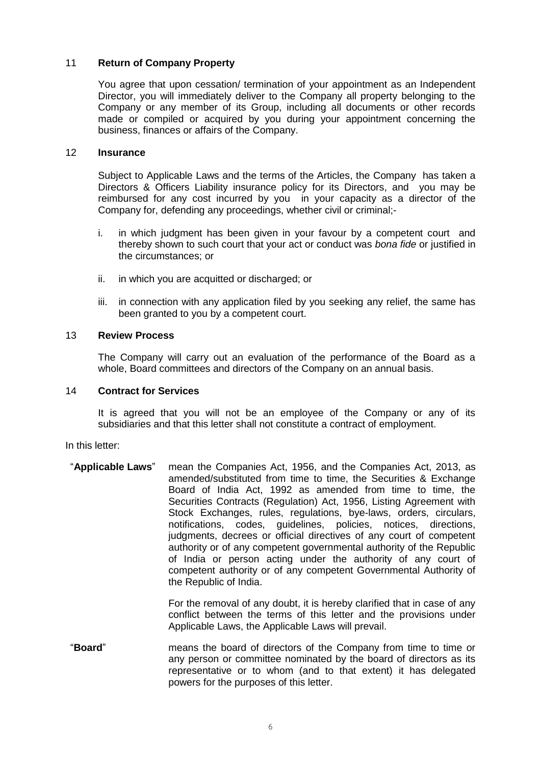## 11 **Return of Company Property**

You agree that upon cessation/ termination of your appointment as an Independent Director, you will immediately deliver to the Company all property belonging to the Company or any member of its Group, including all documents or other records made or compiled or acquired by you during your appointment concerning the business, finances or affairs of the Company.

### 12 **Insurance**

Subject to Applicable Laws and the terms of the Articles, the Company has taken a Directors & Officers Liability insurance policy for its Directors, and you may be reimbursed for any cost incurred by you in your capacity as a director of the Company for, defending any proceedings, whether civil or criminal;-

- i. in which judgment has been given in your favour by a competent court and thereby shown to such court that your act or conduct was *bona fide* or justified in the circumstances; or
- ii. in which you are acquitted or discharged; or
- iii. in connection with any application filed by you seeking any relief, the same has been granted to you by a competent court.

# 13 **Review Process**

The Company will carry out an evaluation of the performance of the Board as a whole, Board committees and directors of the Company on an annual basis.

#### 14 **Contract for Services**

It is agreed that you will not be an employee of the Company or any of its subsidiaries and that this letter shall not constitute a contract of employment.

In this letter:

"**Applicable Laws**" mean the Companies Act, 1956, and the Companies Act, 2013, as amended/substituted from time to time, the Securities & Exchange Board of India Act, 1992 as amended from time to time, the Securities Contracts (Regulation) Act, 1956, Listing Agreement with Stock Exchanges, rules, regulations, bye-laws, orders, circulars, notifications, codes, guidelines, policies, notices, directions, judgments, decrees or official directives of any court of competent authority or of any competent governmental authority of the Republic of India or person acting under the authority of any court of competent authority or of any competent Governmental Authority of the Republic of India.

> For the removal of any doubt, it is hereby clarified that in case of any conflict between the terms of this letter and the provisions under Applicable Laws, the Applicable Laws will prevail.

"**Board**" means the board of directors of the Company from time to time or any person or committee nominated by the board of directors as its representative or to whom (and to that extent) it has delegated powers for the purposes of this letter.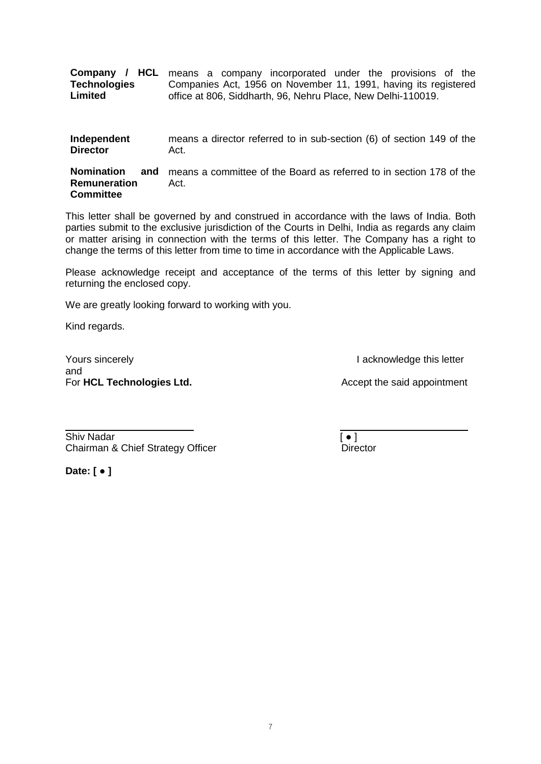|                     | <b>Company / HCL</b> means a company incorporated under the provisions of the |
|---------------------|-------------------------------------------------------------------------------|
| <b>Technologies</b> | Companies Act, 1956 on November 11, 1991, having its registered               |
| Limited             | office at 806, Siddharth, 96, Nehru Place, New Delhi-110019.                  |
|                     |                                                                               |

| Independent     |      |  | means a director referred to in sub-section (6) of section 149 of the |  |  |  |
|-----------------|------|--|-----------------------------------------------------------------------|--|--|--|
| <b>Director</b> | Act. |  |                                                                       |  |  |  |

**Nomination and**  means a committee of the Board as referred to in section 178 of the **Remuneration Committee** Act.

This letter shall be governed by and construed in accordance with the laws of India. Both parties submit to the exclusive jurisdiction of the Courts in Delhi, India as regards any claim or matter arising in connection with the terms of this letter. The Company has a right to change the terms of this letter from time to time in accordance with the Applicable Laws.

Please acknowledge receipt and acceptance of the terms of this letter by signing and returning the enclosed copy.

We are greatly looking forward to working with you.

Kind regards.

Yours sincerely **I acknowledge this letter** and For HCL Technologies Ltd. **Accept the said appointment** For HCL Technologies Ltd. **Accept the said appointment** 

Shiv Nadar **Figure 1** Chairman & Chief Strategy OfficerDirector

**Date: [ ● ]**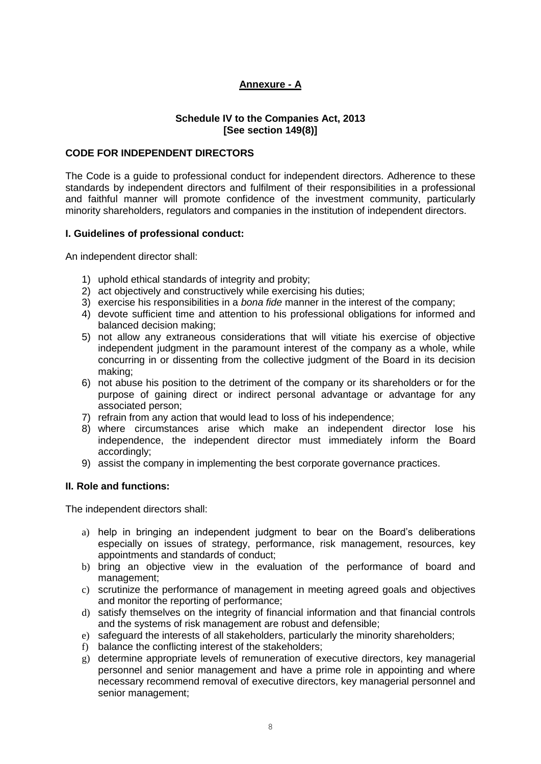# **Annexure - A**

# **Schedule IV to the Companies Act, 2013 [See section 149(8)]**

## **CODE FOR INDEPENDENT DIRECTORS**

The Code is a guide to professional conduct for independent directors. Adherence to these standards by independent directors and fulfilment of their responsibilities in a professional and faithful manner will promote confidence of the investment community, particularly minority shareholders, regulators and companies in the institution of independent directors.

## **I. Guidelines of professional conduct:**

An independent director shall:

- 1) uphold ethical standards of integrity and probity;
- 2) act objectively and constructively while exercising his duties;
- 3) exercise his responsibilities in a *bona fide* manner in the interest of the company;
- 4) devote sufficient time and attention to his professional obligations for informed and balanced decision making;
- 5) not allow any extraneous considerations that will vitiate his exercise of objective independent judgment in the paramount interest of the company as a whole, while concurring in or dissenting from the collective judgment of the Board in its decision making;
- 6) not abuse his position to the detriment of the company or its shareholders or for the purpose of gaining direct or indirect personal advantage or advantage for any associated person;
- 7) refrain from any action that would lead to loss of his independence;
- 8) where circumstances arise which make an independent director lose his independence, the independent director must immediately inform the Board accordingly;
- 9) assist the company in implementing the best corporate governance practices.

## **II. Role and functions:**

The independent directors shall:

- a) help in bringing an independent judgment to bear on the Board's deliberations especially on issues of strategy, performance, risk management, resources, key appointments and standards of conduct;
- b) bring an objective view in the evaluation of the performance of board and management;
- c) scrutinize the performance of management in meeting agreed goals and objectives and monitor the reporting of performance;
- d) satisfy themselves on the integrity of financial information and that financial controls and the systems of risk management are robust and defensible;
- e) safeguard the interests of all stakeholders, particularly the minority shareholders;
- f) balance the conflicting interest of the stakeholders;
- g) determine appropriate levels of remuneration of executive directors, key managerial personnel and senior management and have a prime role in appointing and where necessary recommend removal of executive directors, key managerial personnel and senior management;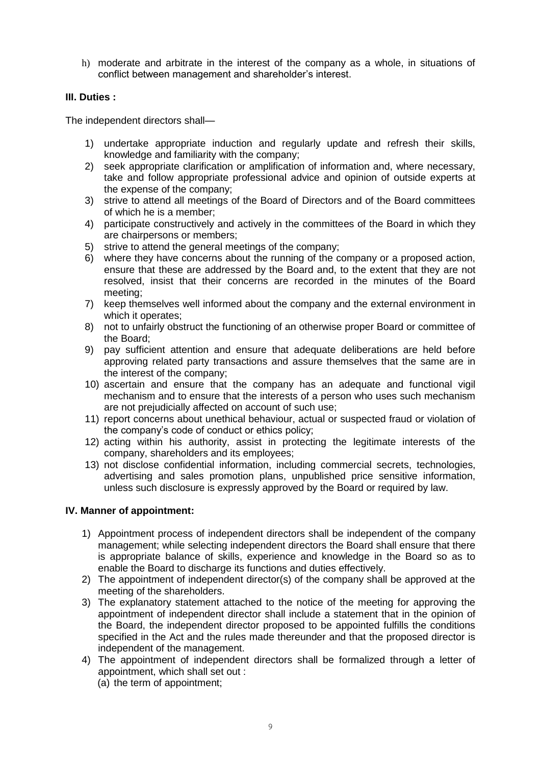h) moderate and arbitrate in the interest of the company as a whole, in situations of conflict between management and shareholder's interest.

## **III. Duties :**

The independent directors shall—

- 1) undertake appropriate induction and regularly update and refresh their skills, knowledge and familiarity with the company;
- 2) seek appropriate clarification or amplification of information and, where necessary, take and follow appropriate professional advice and opinion of outside experts at the expense of the company;
- 3) strive to attend all meetings of the Board of Directors and of the Board committees of which he is a member;
- 4) participate constructively and actively in the committees of the Board in which they are chairpersons or members;
- 5) strive to attend the general meetings of the company;
- 6) where they have concerns about the running of the company or a proposed action, ensure that these are addressed by the Board and, to the extent that they are not resolved, insist that their concerns are recorded in the minutes of the Board meeting;
- 7) keep themselves well informed about the company and the external environment in which it operates;
- 8) not to unfairly obstruct the functioning of an otherwise proper Board or committee of the Board;
- 9) pay sufficient attention and ensure that adequate deliberations are held before approving related party transactions and assure themselves that the same are in the interest of the company;
- 10) ascertain and ensure that the company has an adequate and functional vigil mechanism and to ensure that the interests of a person who uses such mechanism are not prejudicially affected on account of such use;
- 11) report concerns about unethical behaviour, actual or suspected fraud or violation of the company's code of conduct or ethics policy;
- 12) acting within his authority, assist in protecting the legitimate interests of the company, shareholders and its employees;
- 13) not disclose confidential information, including commercial secrets, technologies, advertising and sales promotion plans, unpublished price sensitive information, unless such disclosure is expressly approved by the Board or required by law.

## **IV. Manner of appointment:**

- 1) Appointment process of independent directors shall be independent of the company management; while selecting independent directors the Board shall ensure that there is appropriate balance of skills, experience and knowledge in the Board so as to enable the Board to discharge its functions and duties effectively.
- 2) The appointment of independent director(s) of the company shall be approved at the meeting of the shareholders.
- 3) The explanatory statement attached to the notice of the meeting for approving the appointment of independent director shall include a statement that in the opinion of the Board, the independent director proposed to be appointed fulfills the conditions specified in the Act and the rules made thereunder and that the proposed director is independent of the management.
- 4) The appointment of independent directors shall be formalized through a letter of appointment, which shall set out : (a) the term of appointment;
	-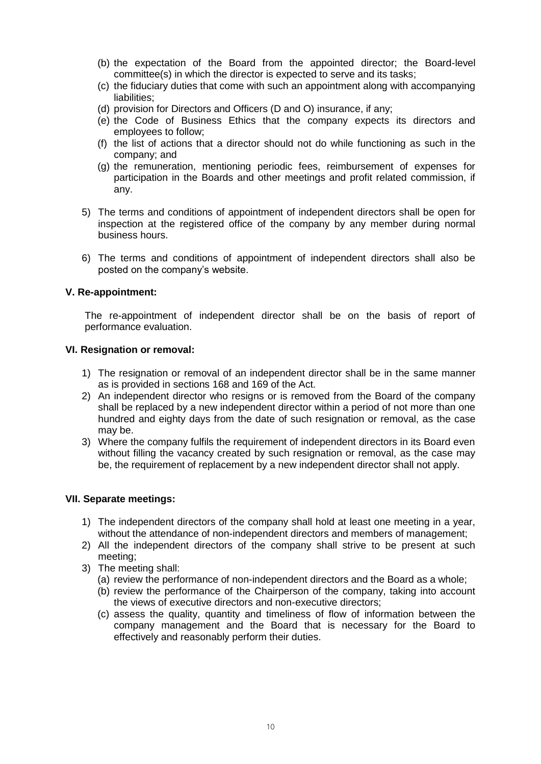- (b) the expectation of the Board from the appointed director; the Board-level committee(s) in which the director is expected to serve and its tasks;
- (c) the fiduciary duties that come with such an appointment along with accompanying liabilities;
- (d) provision for Directors and Officers (D and O) insurance, if any;
- (e) the Code of Business Ethics that the company expects its directors and employees to follow;
- (f) the list of actions that a director should not do while functioning as such in the company; and
- (g) the remuneration, mentioning periodic fees, reimbursement of expenses for participation in the Boards and other meetings and profit related commission, if any.
- 5) The terms and conditions of appointment of independent directors shall be open for inspection at the registered office of the company by any member during normal business hours.
- 6) The terms and conditions of appointment of independent directors shall also be posted on the company's website.

### **V. Re-appointment:**

The re-appointment of independent director shall be on the basis of report of performance evaluation.

#### **VI. Resignation or removal:**

- 1) The resignation or removal of an independent director shall be in the same manner as is provided in sections 168 and 169 of the Act.
- 2) An independent director who resigns or is removed from the Board of the company shall be replaced by a new independent director within a period of not more than one hundred and eighty days from the date of such resignation or removal, as the case may be.
- 3) Where the company fulfils the requirement of independent directors in its Board even without filling the vacancy created by such resignation or removal, as the case may be, the requirement of replacement by a new independent director shall not apply.

#### **VII. Separate meetings:**

- 1) The independent directors of the company shall hold at least one meeting in a year, without the attendance of non-independent directors and members of management;
- 2) All the independent directors of the company shall strive to be present at such meeting;
- 3) The meeting shall:
	- (a) review the performance of non-independent directors and the Board as a whole;
	- (b) review the performance of the Chairperson of the company, taking into account the views of executive directors and non-executive directors;
	- (c) assess the quality, quantity and timeliness of flow of information between the company management and the Board that is necessary for the Board to effectively and reasonably perform their duties.